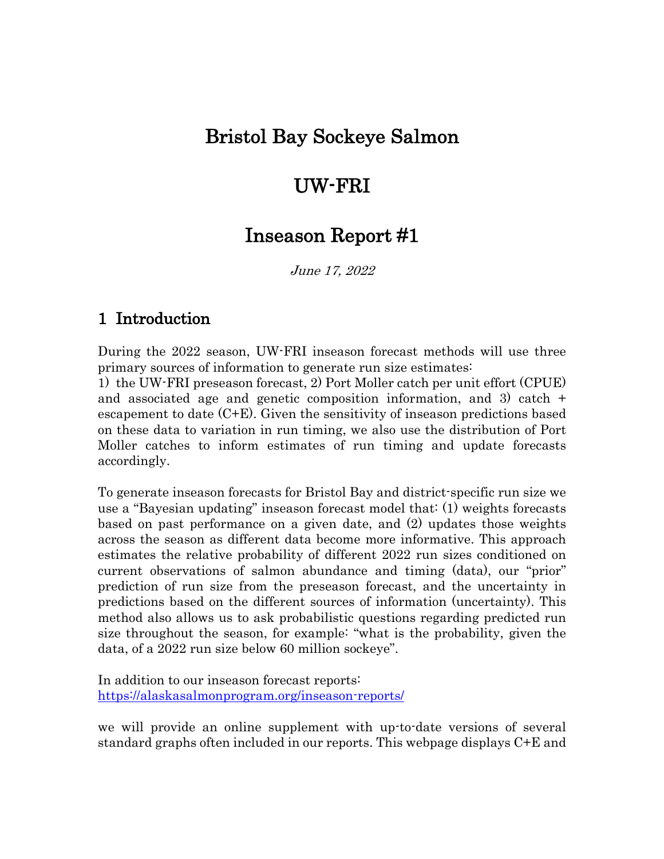# Bristol Bay Sockeye Salmon

# UW-FRI

# Inseason Report #1

June 17, 2022

## 1 Introduction

During the 2022 season, UW-FRI inseason forecast methods will use three primary sources of information to generate run size estimates:

1) the UW-FRI preseason forecast, 2) Port Moller catch per unit effort (CPUE) and associated age and genetic composition information, and 3) catch + escapement to date (C+E). Given the sensitivity of inseason predictions based on these data to variation in run timing, we also use the distribution of Port Moller catches to inform estimates of run timing and update forecasts accordingly.

To generate inseason forecasts for Bristol Bay and district-specific run size we use a "Bayesian updating" inseason forecast model that: (1) weights forecasts based on past performance on a given date, and (2) updates those weights across the season as different data become more informative. This approach estimates the relative probability of different 2022 run sizes conditioned on current observations of salmon abundance and timing (data), our "prior" prediction of run size from the preseason forecast, and the uncertainty in predictions based on the different sources of information (uncertainty). This method also allows us to ask probabilistic questions regarding predicted run size throughout the season, for example: "what is the probability, given the data, of a 2022 run size below 60 million sockeye".

In addition to our inseason forecast reports: https://alaskasalmonprogram.org/inseason-reports/

we will provide an online supplement with up-to-date versions of several standard graphs often included in our reports. This webpage displays C+E and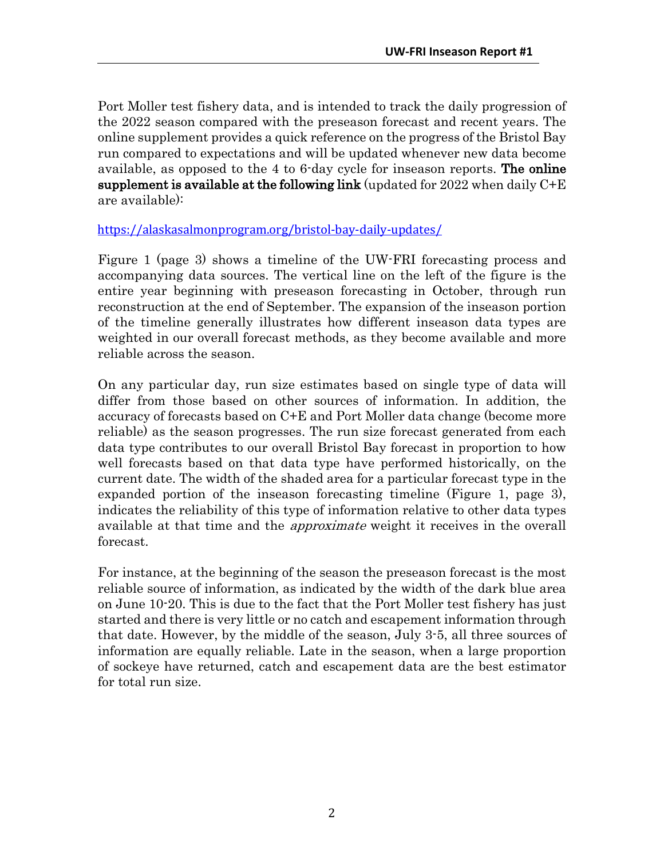Port Moller test fishery data, and is intended to track the daily progression of the 2022 season compared with the preseason forecast and recent years. The online supplement provides a quick reference on the progress of the Bristol Bay run compared to expectations and will be updated whenever new data become available, as opposed to the 4 to 6-day cycle for inseason reports. The online supplement is available at the following link (updated for  $2022$  when daily  $C+E$ are available):

https://alaskasalmonprogram.org/bristol-bay-daily-updates/

Figure 1 (page 3) shows a timeline of the UW-FRI forecasting process and accompanying data sources. The vertical line on the left of the figure is the entire year beginning with preseason forecasting in October, through run reconstruction at the end of September. The expansion of the inseason portion of the timeline generally illustrates how different inseason data types are weighted in our overall forecast methods, as they become available and more reliable across the season.

On any particular day, run size estimates based on single type of data will differ from those based on other sources of information. In addition, the accuracy of forecasts based on C+E and Port Moller data change (become more reliable) as the season progresses. The run size forecast generated from each data type contributes to our overall Bristol Bay forecast in proportion to how well forecasts based on that data type have performed historically, on the current date. The width of the shaded area for a particular forecast type in the expanded portion of the inseason forecasting timeline (Figure 1, page 3), indicates the reliability of this type of information relative to other data types available at that time and the *approximate* weight it receives in the overall forecast.

For instance, at the beginning of the season the preseason forecast is the most reliable source of information, as indicated by the width of the dark blue area on June 10-20. This is due to the fact that the Port Moller test fishery has just started and there is very little or no catch and escapement information through that date. However, by the middle of the season, July 3-5, all three sources of information are equally reliable. Late in the season, when a large proportion of sockeye have returned, catch and escapement data are the best estimator for total run size.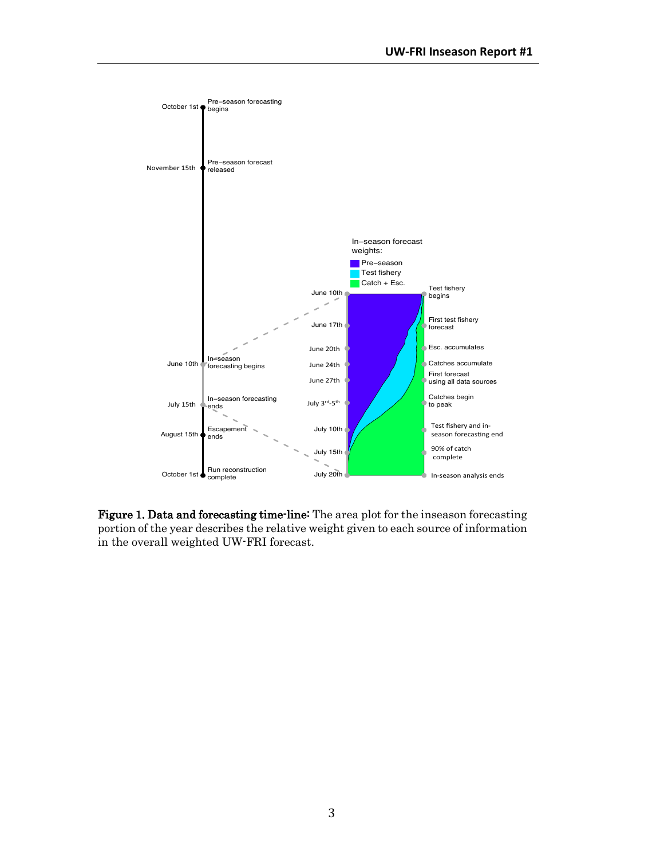

Figure 1. Data and forecasting time-line: The area plot for the inseason forecasting portion of the year describes the relative weight given to each source of information in the overall weighted UW-FRI forecast.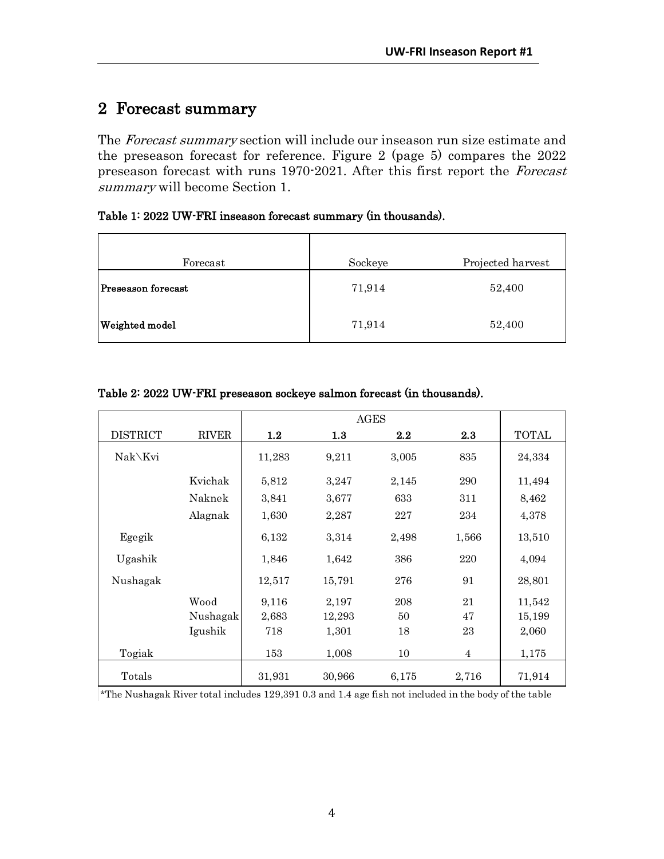### 2 Forecast summary

The Forecast summary section will include our inseason run size estimate and the preseason forecast for reference. Figure 2 (page 5) compares the 2022 preseason forecast with runs 1970-2021. After this first report the Forecast summary will become Section 1.

Table 1: 2022 UW-FRI inseason forecast summary (in thousands).

| Forecast                  | Sockeye | Projected harvest |
|---------------------------|---------|-------------------|
| <b>Preseason forecast</b> | 71,914  | 52,400            |
| <b>Weighted model</b>     | 71,914  | 52,400            |

|                 |              | AGES   |        |       |                |        |
|-----------------|--------------|--------|--------|-------|----------------|--------|
| <b>DISTRICT</b> | <b>RIVER</b> | 1.2    | 1.3    | 2.2   | 2.3            | TOTAL  |
| Nak\Kvi         |              | 11,283 | 9,211  | 3,005 | 835            | 24,334 |
|                 | Kvichak      | 5,812  | 3,247  | 2,145 | 290            | 11,494 |
|                 | Naknek       | 3,841  | 3,677  | 633   | 311            | 8,462  |
|                 | Alagnak      | 1,630  | 2,287  | 227   | 234            | 4,378  |
| Egegik          |              | 6,132  | 3,314  | 2,498 | 1,566          | 13,510 |
| Ugashik         |              | 1,846  | 1,642  | 386   | 220            | 4,094  |
| Nushagak        |              | 12,517 | 15,791 | 276   | 91             | 28,801 |
|                 | Wood         | 9,116  | 2,197  | 208   | 21             | 11,542 |
|                 | Nushagak     | 2,683  | 12,293 | 50    | 47             | 15,199 |
|                 | Igushik      | 718    | 1,301  | 18    | 23             | 2,060  |
| Togiak          |              | 153    | 1,008  | 10    | $\overline{4}$ | 1,175  |
| Totals          |              | 31,931 | 30,966 | 6,175 | 2,716          | 71,914 |

#### Table 2: 2022 UW-FRI preseason sockeye salmon forecast (in thousands).

\*The Nushagak River total includes 129,391 0.3 and 1.4 age fish not included in the body of the table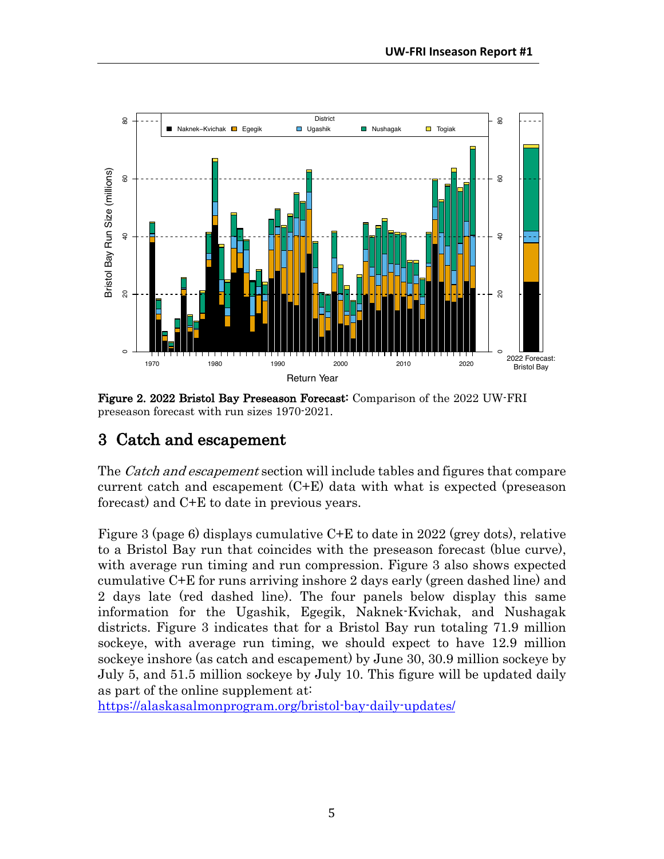

Figure 2. 2022 Bristol Bay Preseason Forecast: Comparison of the 2022 UW-FRI preseason forecast with run sizes 1970-2021.

## 3 Catch and escapement

The *Catch and escapement* section will include tables and figures that compare current catch and escapement (C+E) data with what is expected (preseason forecast) and C+E to date in previous years.

Figure 3 (page 6) displays cumulative C+E to date in 2022 (grey dots), relative to a Bristol Bay run that coincides with the preseason forecast (blue curve), with average run timing and run compression. Figure 3 also shows expected cumulative C+E for runs arriving inshore 2 days early (green dashed line) and 2 days late (red dashed line). The four panels below display this same information for the Ugashik, Egegik, Naknek-Kvichak, and Nushagak districts. Figure 3 indicates that for a Bristol Bay run totaling 71.9 million sockeye, with average run timing, we should expect to have 12.9 million sockeye inshore (as catch and escapement) by June 30, 30.9 million sockeye by July 5, and 51.5 million sockeye by July 10. This figure will be updated daily as part of the online supplement at:

https://alaskasalmonprogram.org/bristol-bay-daily-updates/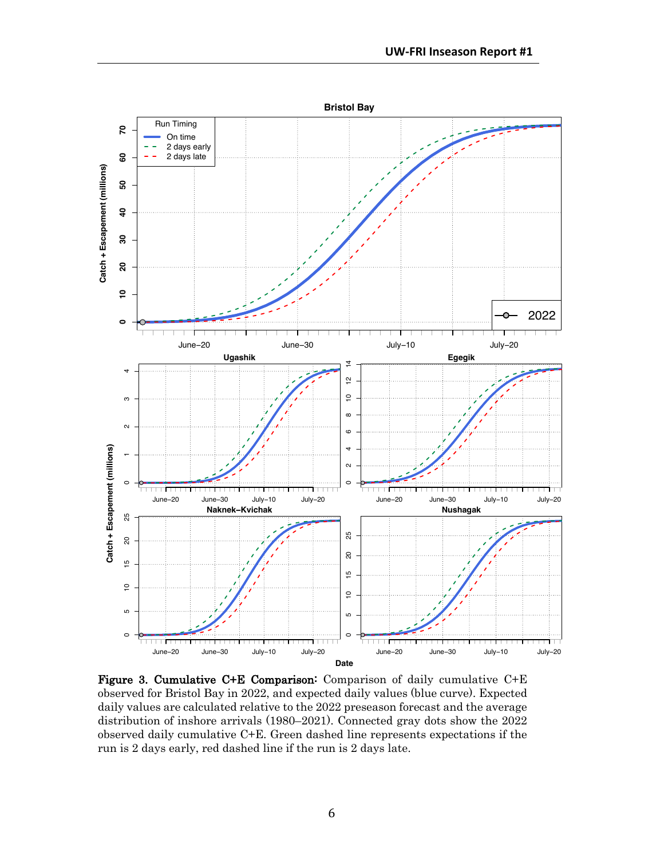

Figure 3. Cumulative C+E Comparison: Comparison of daily cumulative C+E observed for Bristol Bay in 2022, and expected daily values (blue curve). Expected daily values are calculated relative to the 2022 preseason forecast and the average distribution of inshore arrivals (1980–2021). Connected gray dots show the 2022 observed daily cumulative C+E. Green dashed line represents expectations if the run is 2 days early, red dashed line if the run is 2 days late.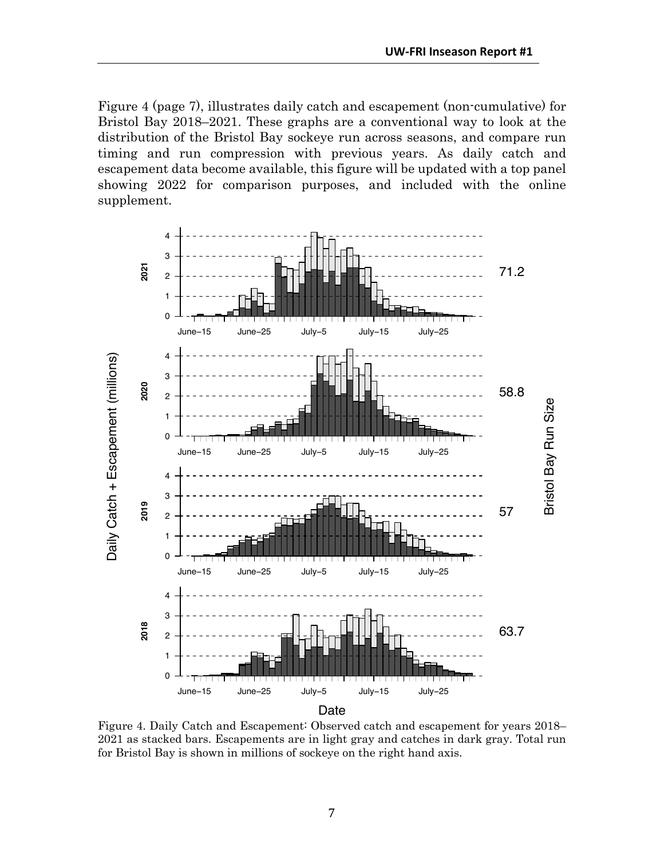Figure 4 (page 7), illustrates daily catch and escapement (non-cumulative) for Bristol Bay 2018–2021. These graphs are a conventional way to look at the distribution of the Bristol Bay sockeye run across seasons, and compare run timing and run compression with previous years. As daily catch and escapement data become available, this figure will be updated with a top panel showing 2022 for comparison purposes, and included with the online supplement.



Figure 4. Daily Catch and Escapement: Observed catch and escapement for years 2018– 2021 as stacked bars. Escapements are in light gray and catches in dark gray. Total run for Bristol Bay is shown in millions of sockeye on the right hand axis.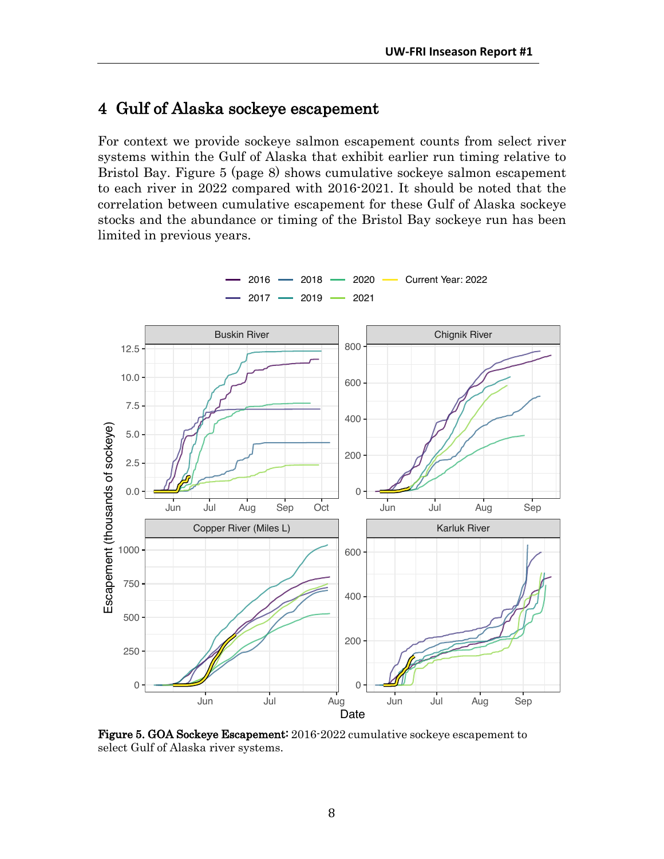### 4 Gulf of Alaska sockeye escapement

For context we provide sockeye salmon escapement counts from select river systems within the Gulf of Alaska that exhibit earlier run timing relative to Bristol Bay. Figure 5 (page 8) shows cumulative sockeye salmon escapement to each river in 2022 compared with 2016-2021. It should be noted that the correlation between cumulative escapement for these Gulf of Alaska sockeye stocks and the abundance or timing of the Bristol Bay sockeye run has been limited in previous years.



Figure 5. GOA Sockeye Escapement: 2016-2022 cumulative sockeye escapement to select Gulf of Alaska river systems.